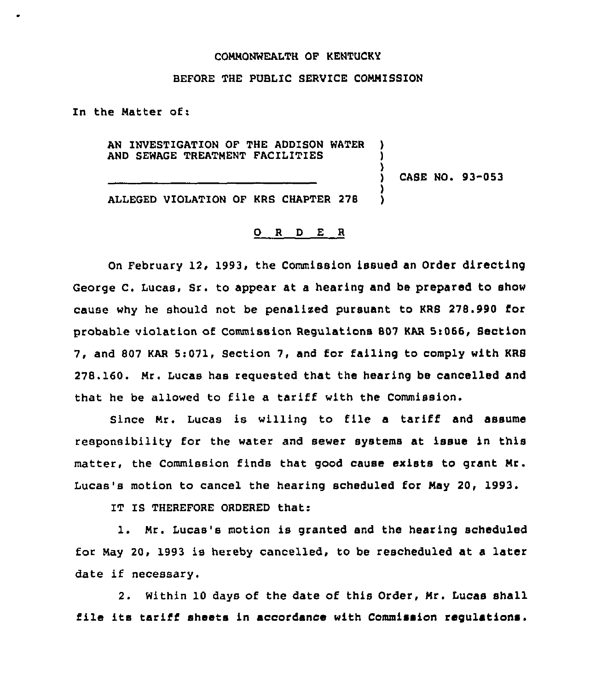## COMMONWEALTH OF KENTUCKY

## BEFORE THE PUBLIC SERVICE COMMISSION

In the Matter of:

AN INVESTIGATION OF THE ADDISON WATER AND SEWAGE TREATMENT FACILITIES

) CASE NO. 93-053

) ) )

) )

ALLEGED VIOLATION OF KRS CHAPTER 278

## 0 <sup>R</sup> <sup>D</sup> E <sup>R</sup>

On February 12, 1993, the Commission issued an Order directing George C. Lucas, Sr. to appear at a hearing and be prepared to show cause why he should not be penalixed pursuant to KRS 278.990 for probable violation of Commission Regulations 807 KAR 5:066, Section 7, and 807 KAR 5:071, Section 7, and for failing to comply with KRS 278.160. Mr. Lucas has requested that the hearing be cancelled and that he be allowed to file a tariff with the Commission.

Since Mr. Lucas is willing to file a tariff and assume responsibility for the water and sewer systems at issue in this matter, the Commission finds that good cause exists to grant Mr. Lucas's motion to cancel the hearing scheduled for May 20, 1993.

IT IS THEREFORE ORDERED that:

l. Mr. Lucas's motion is granted and the hearing scheduled for May 20, 1993 is hereby cancelled, to be rescheduled at a later date if necessary.

2. Within 10 days of the date of this Order, Mr. Lucas shall file its tariff sheets in accordance with Commission regulations.